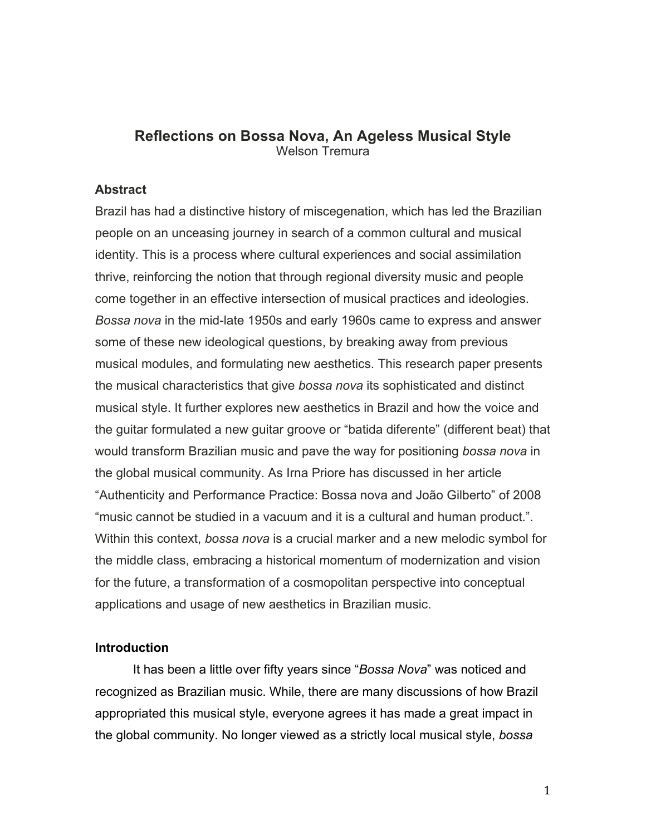# **Reflections on Bossa Nova, An Ageless Musical Style** Welson Tremura

#### **Abstract**

Brazil has had a distinctive history of miscegenation, which has led the Brazilian people on an unceasing journey in search of a common cultural and musical identity. This is a process where cultural experiences and social assimilation thrive, reinforcing the notion that through regional diversity music and people come together in an effective intersection of musical practices and ideologies. *Bossa nova* in the mid-late 1950s and early 1960s came to express and answer some of these new ideological questions, by breaking away from previous musical modules, and formulating new aesthetics. This research paper presents the musical characteristics that give *bossa nova* its sophisticated and distinct musical style. It further explores new aesthetics in Brazil and how the voice and the guitar formulated a new guitar groove or "batida diferente" (different beat) that would transform Brazilian music and pave the way for positioning *bossa nova* in the global musical community. As Irna Priore has discussed in her article "Authenticity and Performance Practice: Bossa nova and João Gilberto" of 2008 "music cannot be studied in a vacuum and it is a cultural and human product.". Within this context, *bossa nova* is a crucial marker and a new melodic symbol for the middle class, embracing a historical momentum of modernization and vision for the future, a transformation of a cosmopolitan perspective into conceptual applications and usage of new aesthetics in Brazilian music.

# **Introduction**

It has been a little over fifty years since "*Bossa Nova*" was noticed and recognized as Brazilian music. While, there are many discussions of how Brazil appropriated this musical style, everyone agrees it has made a great impact in the global community. No longer viewed as a strictly local musical style, *bossa*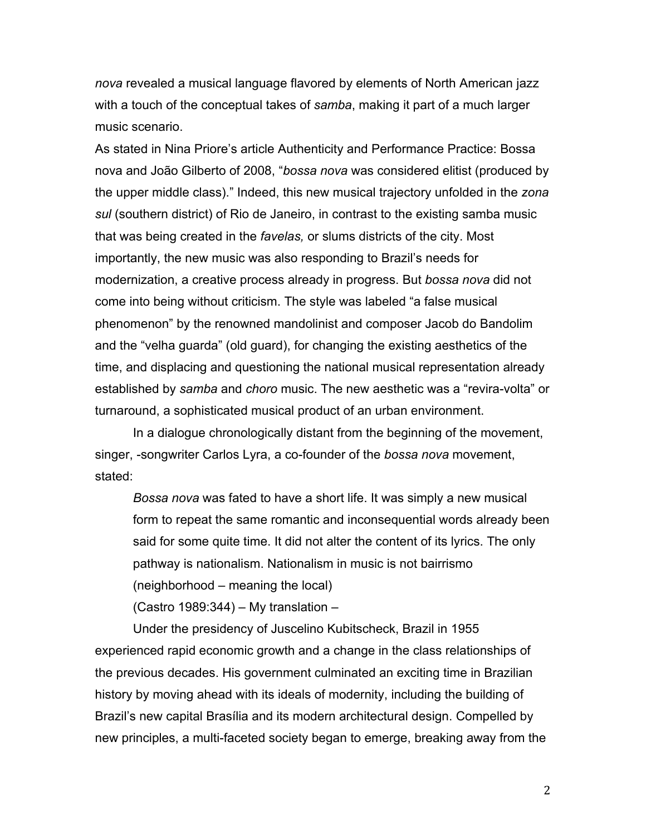*nova* revealed a musical language flavored by elements of North American jazz with a touch of the conceptual takes of *samba*, making it part of a much larger music scenario.

As stated in Nina Priore's article Authenticity and Performance Practice: Bossa nova and João Gilberto of 2008, "*bossa nova* was considered elitist (produced by the upper middle class)." Indeed, this new musical trajectory unfolded in the *zona sul* (southern district) of Rio de Janeiro, in contrast to the existing samba music that was being created in the *favelas,* or slums districts of the city. Most importantly, the new music was also responding to Brazil's needs for modernization, a creative process already in progress. But *bossa nova* did not come into being without criticism. The style was labeled "a false musical phenomenon" by the renowned mandolinist and composer Jacob do Bandolim and the "velha guarda" (old guard), for changing the existing aesthetics of the time, and displacing and questioning the national musical representation already established by *samba* and *choro* music. The new aesthetic was a "revira-volta" or turnaround, a sophisticated musical product of an urban environment.

In a dialogue chronologically distant from the beginning of the movement, singer, -songwriter Carlos Lyra, a co-founder of the *bossa nova* movement, stated:

*Bossa nova* was fated to have a short life. It was simply a new musical form to repeat the same romantic and inconsequential words already been said for some quite time. It did not alter the content of its lyrics. The only pathway is nationalism. Nationalism in music is not bairrismo (neighborhood – meaning the local)

(Castro 1989:344) – My translation –

Under the presidency of Juscelino Kubitscheck, Brazil in 1955 experienced rapid economic growth and a change in the class relationships of the previous decades. His government culminated an exciting time in Brazilian history by moving ahead with its ideals of modernity, including the building of Brazil's new capital Brasília and its modern architectural design. Compelled by new principles, a multi-faceted society began to emerge, breaking away from the

2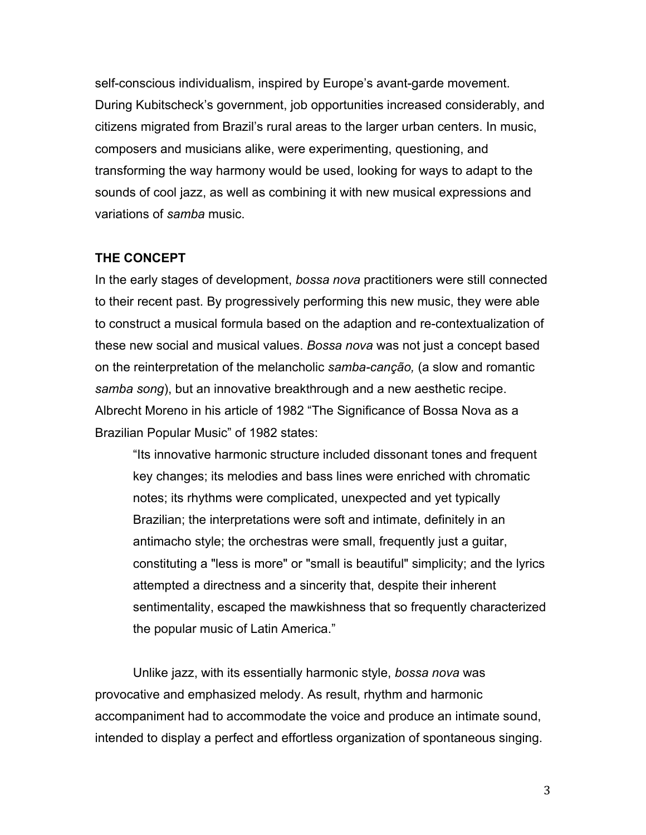self-conscious individualism, inspired by Europe's avant-garde movement. During Kubitscheck's government, job opportunities increased considerably, and citizens migrated from Brazil's rural areas to the larger urban centers. In music, composers and musicians alike, were experimenting, questioning, and transforming the way harmony would be used, looking for ways to adapt to the sounds of cool jazz, as well as combining it with new musical expressions and variations of *samba* music.

### **THE CONCEPT**

In the early stages of development, *bossa nova* practitioners were still connected to their recent past. By progressively performing this new music, they were able to construct a musical formula based on the adaption and re-contextualization of these new social and musical values. *Bossa nova* was not just a concept based on the reinterpretation of the melancholic *samba-canção,* (a slow and romantic *samba song*), but an innovative breakthrough and a new aesthetic recipe. Albrecht Moreno in his article of 1982 "The Significance of Bossa Nova as a Brazilian Popular Music" of 1982 states:

"Its innovative harmonic structure included dissonant tones and frequent key changes; its melodies and bass lines were enriched with chromatic notes; its rhythms were complicated, unexpected and yet typically Brazilian; the interpretations were soft and intimate, definitely in an antimacho style; the orchestras were small, frequently just a guitar, constituting a "less is more" or "small is beautiful" simplicity; and the lyrics attempted a directness and a sincerity that, despite their inherent sentimentality, escaped the mawkishness that so frequently characterized the popular music of Latin America."

Unlike jazz, with its essentially harmonic style, *bossa nova* was provocative and emphasized melody. As result, rhythm and harmonic accompaniment had to accommodate the voice and produce an intimate sound, intended to display a perfect and effortless organization of spontaneous singing.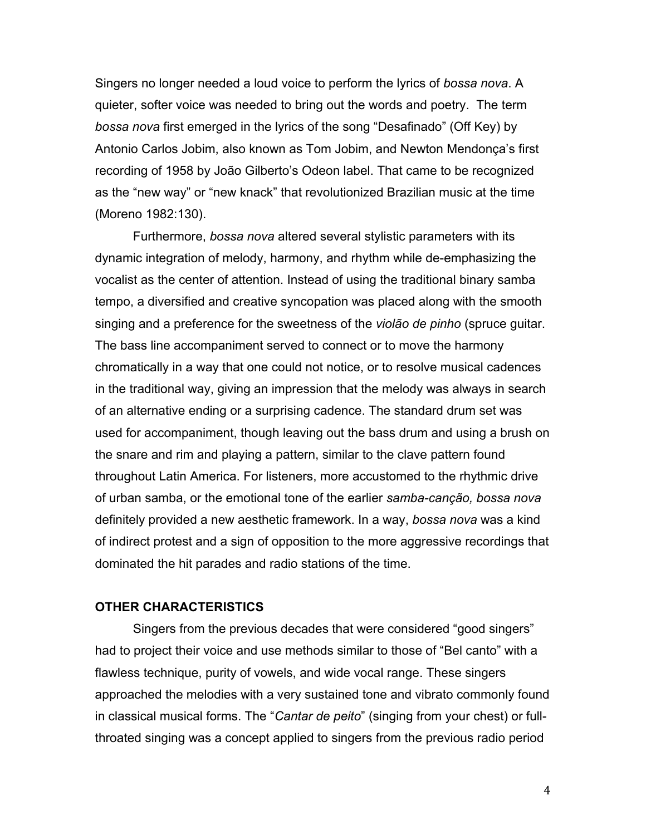Singers no longer needed a loud voice to perform the lyrics of *bossa nova*. A quieter, softer voice was needed to bring out the words and poetry. The term *bossa nova* first emerged in the lyrics of the song "Desafinado" (Off Key) by Antonio Carlos Jobim, also known as Tom Jobim, and Newton Mendonça's first recording of 1958 by João Gilberto's Odeon label. That came to be recognized as the "new way" or "new knack" that revolutionized Brazilian music at the time (Moreno 1982:130).

Furthermore, *bossa nova* altered several stylistic parameters with its dynamic integration of melody, harmony, and rhythm while de-emphasizing the vocalist as the center of attention. Instead of using the traditional binary samba tempo, a diversified and creative syncopation was placed along with the smooth singing and a preference for the sweetness of the *violão de pinho* (spruce guitar. The bass line accompaniment served to connect or to move the harmony chromatically in a way that one could not notice, or to resolve musical cadences in the traditional way, giving an impression that the melody was always in search of an alternative ending or a surprising cadence. The standard drum set was used for accompaniment, though leaving out the bass drum and using a brush on the snare and rim and playing a pattern, similar to the clave pattern found throughout Latin America. For listeners, more accustomed to the rhythmic drive of urban samba, or the emotional tone of the earlier *samba-canção, bossa nova*  definitely provided a new aesthetic framework. In a way, *bossa nova* was a kind of indirect protest and a sign of opposition to the more aggressive recordings that dominated the hit parades and radio stations of the time.

# **OTHER CHARACTERISTICS**

Singers from the previous decades that were considered "good singers" had to project their voice and use methods similar to those of "Bel canto" with a flawless technique, purity of vowels, and wide vocal range. These singers approached the melodies with a very sustained tone and vibrato commonly found in classical musical forms. The "*Cantar de peito*" (singing from your chest) or fullthroated singing was a concept applied to singers from the previous radio period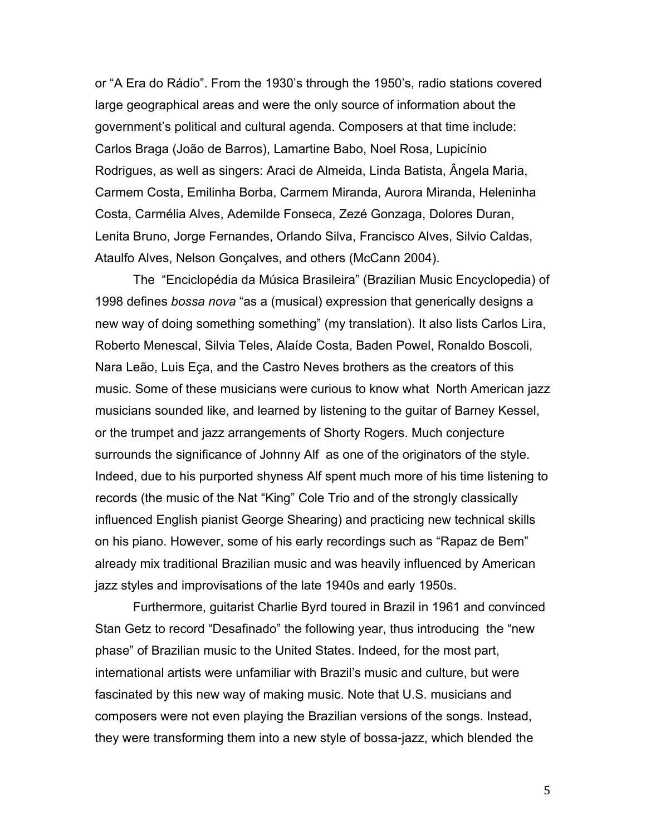or "A Era do Rádio". From the 1930's through the 1950's, radio stations covered large geographical areas and were the only source of information about the government's political and cultural agenda. Composers at that time include: Carlos Braga (João de Barros), Lamartine Babo, Noel Rosa, Lupicínio Rodrigues, as well as singers: Araci de Almeida, Linda Batista, Ângela Maria, Carmem Costa, Emilinha Borba, Carmem Miranda, Aurora Miranda, Heleninha Costa, Carmélia Alves, Ademilde Fonseca, Zezé Gonzaga, Dolores Duran, Lenita Bruno, Jorge Fernandes, Orlando Silva, Francisco Alves, Silvio Caldas, Ataulfo Alves, Nelson Gonçalves, and others (McCann 2004).

The "Enciclopédia da Música Brasileira" (Brazilian Music Encyclopedia) of 1998 defines *bossa nova* "as a (musical) expression that generically designs a new way of doing something something" (my translation). It also lists Carlos Lira, Roberto Menescal, Silvia Teles, Alaíde Costa, Baden Powel, Ronaldo Boscoli, Nara Leão, Luis Eça, and the Castro Neves brothers as the creators of this music. Some of these musicians were curious to know what North American jazz musicians sounded like, and learned by listening to the guitar of Barney Kessel, or the trumpet and jazz arrangements of Shorty Rogers. Much conjecture surrounds the significance of Johnny Alf as one of the originators of the style. Indeed, due to his purported shyness Alf spent much more of his time listening to records (the music of the Nat "King" Cole Trio and of the strongly classically influenced English pianist George Shearing) and practicing new technical skills on his piano. However, some of his early recordings such as "Rapaz de Bem" already mix traditional Brazilian music and was heavily influenced by American jazz styles and improvisations of the late 1940s and early 1950s.

Furthermore, guitarist Charlie Byrd toured in Brazil in 1961 and convinced Stan Getz to record "Desafinado" the following year, thus introducing the "new phase" of Brazilian music to the United States. Indeed, for the most part, international artists were unfamiliar with Brazil's music and culture, but were fascinated by this new way of making music. Note that U.S. musicians and composers were not even playing the Brazilian versions of the songs. Instead, they were transforming them into a new style of bossa-jazz, which blended the

5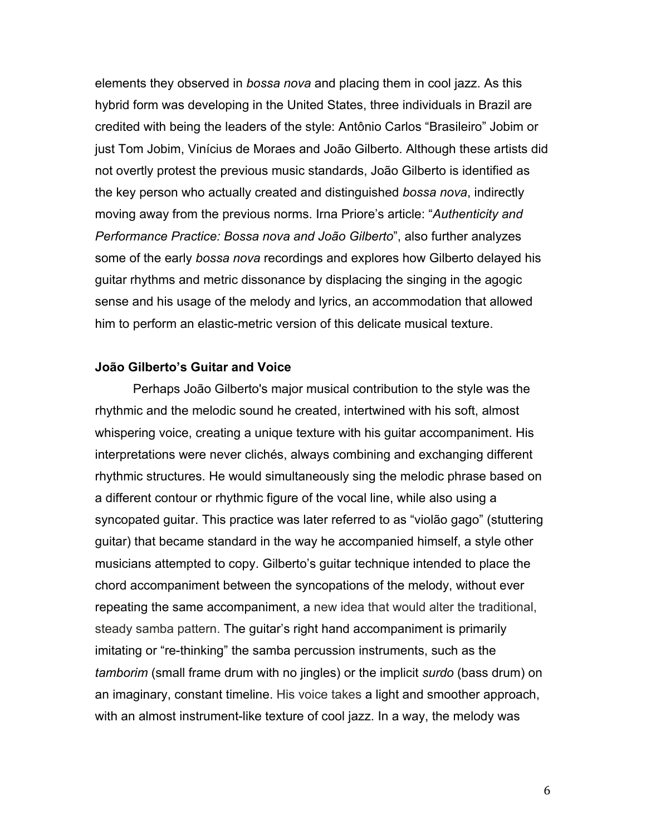elements they observed in *bossa nova* and placing them in cool jazz. As this hybrid form was developing in the United States, three individuals in Brazil are credited with being the leaders of the style: Antônio Carlos "Brasileiro" Jobim or just Tom Jobim, Vinícius de Moraes and João Gilberto. Although these artists did not overtly protest the previous music standards, João Gilberto is identified as the key person who actually created and distinguished *bossa nova*, indirectly moving away from the previous norms. Irna Priore's article: "*Authenticity and Performance Practice: Bossa nova and João Gilberto*", also further analyzes some of the early *bossa nova* recordings and explores how Gilberto delayed his guitar rhythms and metric dissonance by displacing the singing in the agogic sense and his usage of the melody and lyrics, an accommodation that allowed him to perform an elastic-metric version of this delicate musical texture.

## **João Gilberto's Guitar and Voice**

Perhaps João Gilberto's major musical contribution to the style was the rhythmic and the melodic sound he created, intertwined with his soft, almost whispering voice, creating a unique texture with his guitar accompaniment. His interpretations were never clichés, always combining and exchanging different rhythmic structures. He would simultaneously sing the melodic phrase based on a different contour or rhythmic figure of the vocal line, while also using a syncopated guitar. This practice was later referred to as "violão gago" (stuttering guitar) that became standard in the way he accompanied himself, a style other musicians attempted to copy. Gilberto's guitar technique intended to place the chord accompaniment between the syncopations of the melody, without ever repeating the same accompaniment, a new idea that would alter the traditional, steady samba pattern. The guitar's right hand accompaniment is primarily imitating or "re-thinking" the samba percussion instruments, such as the *tamborim* (small frame drum with no jingles) or the implicit *surdo* (bass drum) on an imaginary, constant timeline. His voice takes a light and smoother approach, with an almost instrument-like texture of cool jazz. In a way, the melody was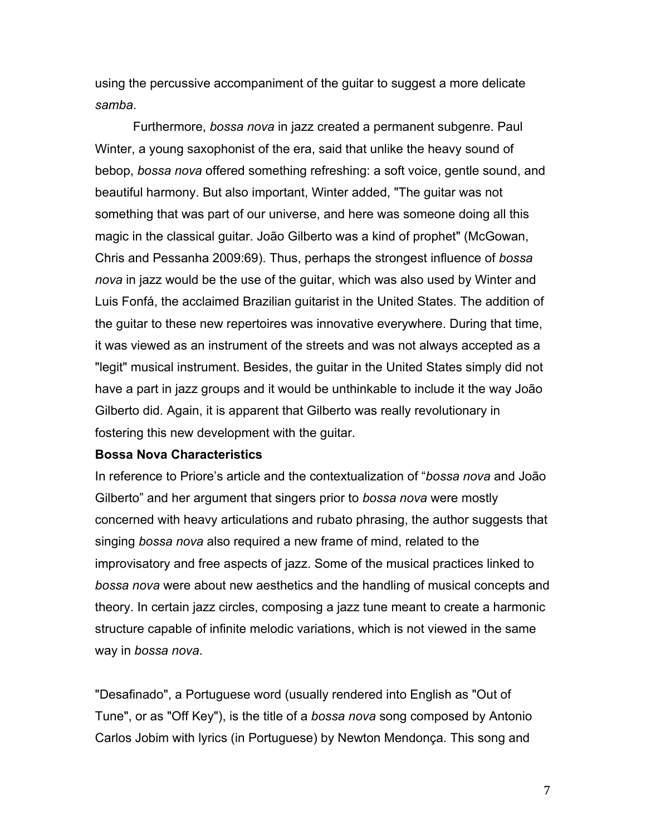using the percussive accompaniment of the guitar to suggest a more delicate *samba*.

Furthermore, *bossa nova* in jazz created a permanent subgenre. Paul Winter, a young saxophonist of the era, said that unlike the heavy sound of bebop, *bossa nova* offered something refreshing: a soft voice, gentle sound, and beautiful harmony. But also important, Winter added, "The guitar was not something that was part of our universe, and here was someone doing all this magic in the classical guitar. João Gilberto was a kind of prophet" (McGowan, Chris and Pessanha 2009:69). Thus, perhaps the strongest influence of *bossa nova* in jazz would be the use of the guitar, which was also used by Winter and Luis Fonfá, the acclaimed Brazilian guitarist in the United States. The addition of the guitar to these new repertoires was innovative everywhere. During that time, it was viewed as an instrument of the streets and was not always accepted as a "legit" musical instrument. Besides, the guitar in the United States simply did not have a part in jazz groups and it would be unthinkable to include it the way João Gilberto did. Again, it is apparent that Gilberto was really revolutionary in fostering this new development with the guitar.

### **Bossa Nova Characteristics**

In reference to Priore's article and the contextualization of "*bossa nova* and João Gilberto" and her argument that singers prior to *bossa nova* were mostly concerned with heavy articulations and rubato phrasing, the author suggests that singing *bossa nova* also required a new frame of mind, related to the improvisatory and free aspects of jazz. Some of the musical practices linked to *bossa nova* were about new aesthetics and the handling of musical concepts and theory. In certain jazz circles, composing a jazz tune meant to create a harmonic structure capable of infinite melodic variations, which is not viewed in the same way in *bossa nova*.

"Desafinado", a Portuguese word (usually rendered into English as "Out of Tune", or as "Off Key"), is the title of a *bossa nova* song composed by Antonio Carlos Jobim with lyrics (in Portuguese) by Newton Mendonça. This song and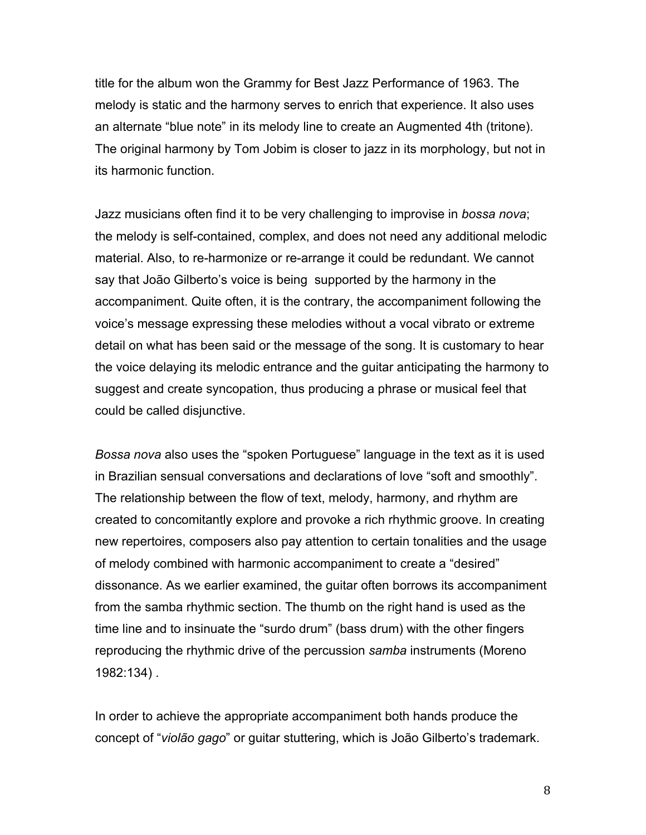title for the album won the Grammy for Best Jazz Performance of 1963. The melody is static and the harmony serves to enrich that experience. It also uses an alternate "blue note" in its melody line to create an Augmented 4th (tritone). The original harmony by Tom Jobim is closer to jazz in its morphology, but not in its harmonic function.

Jazz musicians often find it to be very challenging to improvise in *bossa nova*; the melody is self-contained, complex, and does not need any additional melodic material. Also, to re-harmonize or re-arrange it could be redundant. We cannot say that João Gilberto's voice is being supported by the harmony in the accompaniment. Quite often, it is the contrary, the accompaniment following the voice's message expressing these melodies without a vocal vibrato or extreme detail on what has been said or the message of the song. It is customary to hear the voice delaying its melodic entrance and the guitar anticipating the harmony to suggest and create syncopation, thus producing a phrase or musical feel that could be called disjunctive.

*Bossa nova* also uses the "spoken Portuguese" language in the text as it is used in Brazilian sensual conversations and declarations of love "soft and smoothly". The relationship between the flow of text, melody, harmony, and rhythm are created to concomitantly explore and provoke a rich rhythmic groove. In creating new repertoires, composers also pay attention to certain tonalities and the usage of melody combined with harmonic accompaniment to create a "desired" dissonance. As we earlier examined, the guitar often borrows its accompaniment from the samba rhythmic section. The thumb on the right hand is used as the time line and to insinuate the "surdo drum" (bass drum) with the other fingers reproducing the rhythmic drive of the percussion *samba* instruments (Moreno 1982:134) .

In order to achieve the appropriate accompaniment both hands produce the concept of "*violão gago*" or guitar stuttering, which is João Gilberto's trademark.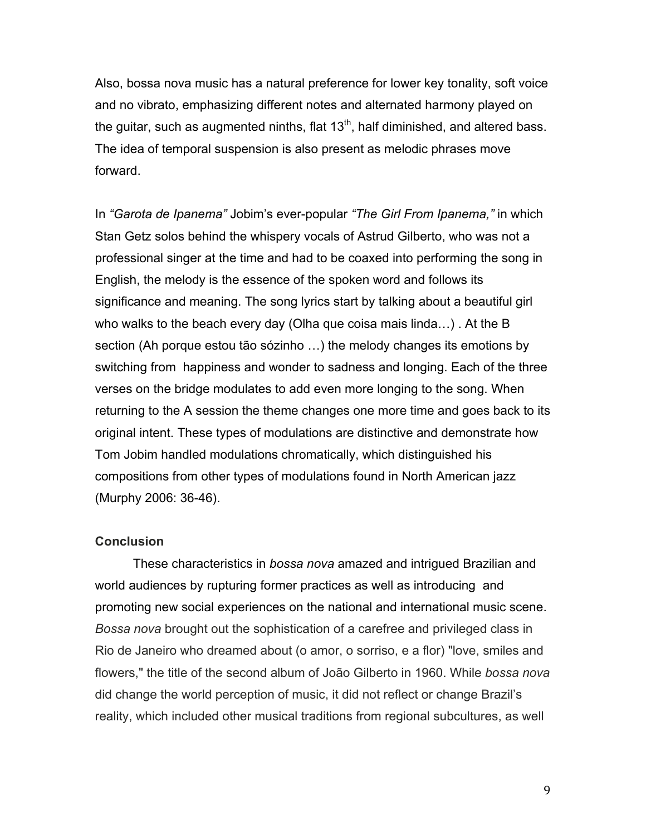Also, bossa nova music has a natural preference for lower key tonality, soft voice and no vibrato, emphasizing different notes and alternated harmony played on the guitar, such as augmented ninths, flat  $13<sup>th</sup>$ , half diminished, and altered bass. The idea of temporal suspension is also present as melodic phrases move forward.

In *"Garota de Ipanema"* Jobim's ever-popular *"The Girl From Ipanema,"* in which Stan Getz solos behind the whispery vocals of Astrud Gilberto, who was not a professional singer at the time and had to be coaxed into performing the song in English, the melody is the essence of the spoken word and follows its significance and meaning. The song lyrics start by talking about a beautiful girl who walks to the beach every day (Olha que coisa mais linda…) . At the B section (Ah porque estou tão sózinho …) the melody changes its emotions by switching from happiness and wonder to sadness and longing. Each of the three verses on the bridge modulates to add even more longing to the song. When returning to the A session the theme changes one more time and goes back to its original intent. These types of modulations are distinctive and demonstrate how Tom Jobim handled modulations chromatically, which distinguished his compositions from other types of modulations found in North American jazz (Murphy 2006: 36-46).

### **Conclusion**

These characteristics in *bossa nova* amazed and intrigued Brazilian and world audiences by rupturing former practices as well as introducing and promoting new social experiences on the national and international music scene. *Bossa nova* brought out the sophistication of a carefree and privileged class in Rio de Janeiro who dreamed about (o amor, o sorriso, e a flor) "love, smiles and flowers," the title of the second album of João Gilberto in 1960. While *bossa nova* did change the world perception of music, it did not reflect or change Brazil's reality, which included other musical traditions from regional subcultures, as well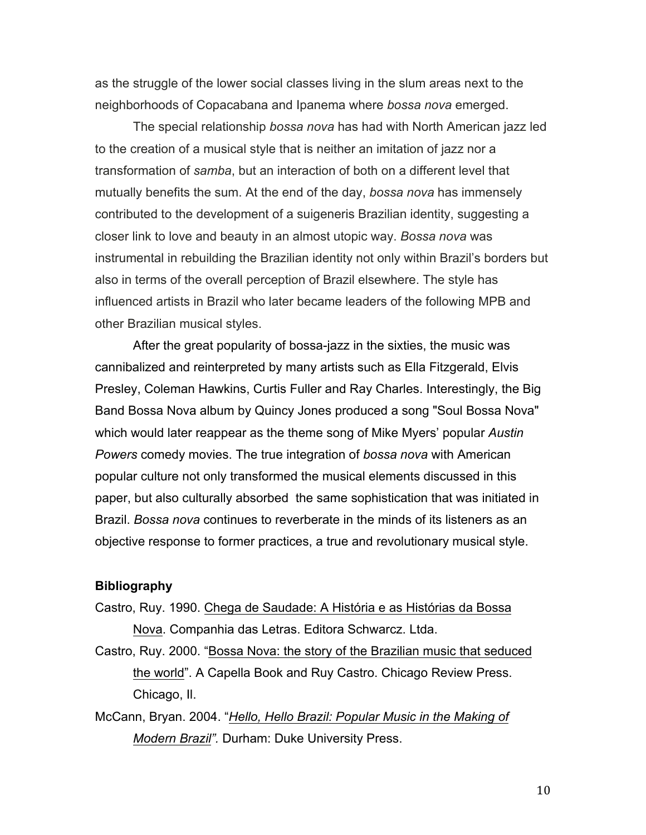as the struggle of the lower social classes living in the slum areas next to the neighborhoods of Copacabana and Ipanema where *bossa nova* emerged.

The special relationship *bossa nova* has had with North American jazz led to the creation of a musical style that is neither an imitation of jazz nor a transformation of *samba*, but an interaction of both on a different level that mutually benefits the sum. At the end of the day, *bossa nova* has immensely contributed to the development of a suigeneris Brazilian identity, suggesting a closer link to love and beauty in an almost utopic way. *Bossa nova* was instrumental in rebuilding the Brazilian identity not only within Brazil's borders but also in terms of the overall perception of Brazil elsewhere. The style has influenced artists in Brazil who later became leaders of the following MPB and other Brazilian musical styles.

After the great popularity of bossa-jazz in the sixties, the music was cannibalized and reinterpreted by many artists such as Ella Fitzgerald, Elvis Presley, Coleman Hawkins, Curtis Fuller and Ray Charles. Interestingly, the Big Band Bossa Nova album by Quincy Jones produced a song "Soul Bossa Nova" which would later reappear as the theme song of Mike Myers' popular *Austin Powers* comedy movies. The true integration of *bossa nova* with American popular culture not only transformed the musical elements discussed in this paper, but also culturally absorbed the same sophistication that was initiated in Brazil. *Bossa nova* continues to reverberate in the minds of its listeners as an objective response to former practices, a true and revolutionary musical style.

#### **Bibliography**

- Castro, Ruy. 1990. Chega de Saudade: A História e as Histórias da Bossa Nova. Companhia das Letras. Editora Schwarcz. Ltda.
- Castro, Ruy. 2000. "Bossa Nova: the story of the Brazilian music that seduced the world". A Capella Book and Ruy Castro. Chicago Review Press. Chicago, Il.
- McCann, Bryan. 2004. "*Hello, Hello Brazil: Popular Music in the Making of Modern Brazil".* Durham: Duke University Press.